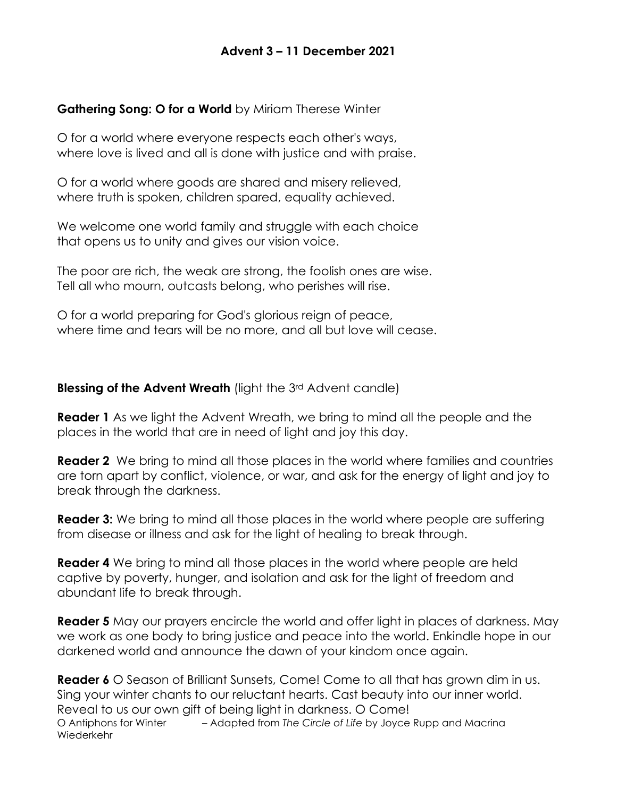### **Advent 3 – 11 December 2021**

#### **Gathering Song: O for a World** by Miriam Therese Winter

O for a world where everyone respects each other's ways, where love is lived and all is done with justice and with praise.

O for a world where goods are shared and misery relieved, where truth is spoken, children spared, equality achieved.

We welcome one world family and struggle with each choice that opens us to unity and gives our vision voice.

The poor are rich, the weak are strong, the foolish ones are wise. Tell all who mourn, outcasts belong, who perishes will rise.

O for a world preparing for God's glorious reign of peace, where time and tears will be no more, and all but love will cease.

**Blessing of the Advent Wreath** (light the 3<sup>rd</sup> Advent candle)

**Reader 1** As we light the Advent Wreath, we bring to mind all the people and the places in the world that are in need of light and joy this day.

**Reader 2** We bring to mind all those places in the world where families and countries are torn apart by conflict, violence, or war, and ask for the energy of light and joy to break through the darkness.

**Reader 3:** We bring to mind all those places in the world where people are suffering from disease or illness and ask for the light of healing to break through.

**Reader 4** We bring to mind all those places in the world where people are held captive by poverty, hunger, and isolation and ask for the light of freedom and abundant life to break through.

**Reader 5** May our prayers encircle the world and offer light in places of darkness. May we work as one body to bring justice and peace into the world. Enkindle hope in our darkened world and announce the dawn of your kindom once again.

**Reader 6** O Season of Brilliant Sunsets, Come! Come to all that has grown dim in us. Sing your winter chants to our reluctant hearts. Cast beauty into our inner world. Reveal to us our own gift of being light in darkness. O Come! O Antiphons for Winter – Adapted from *The Circle of Life* by Joyce Rupp and Macrina Wiederkehr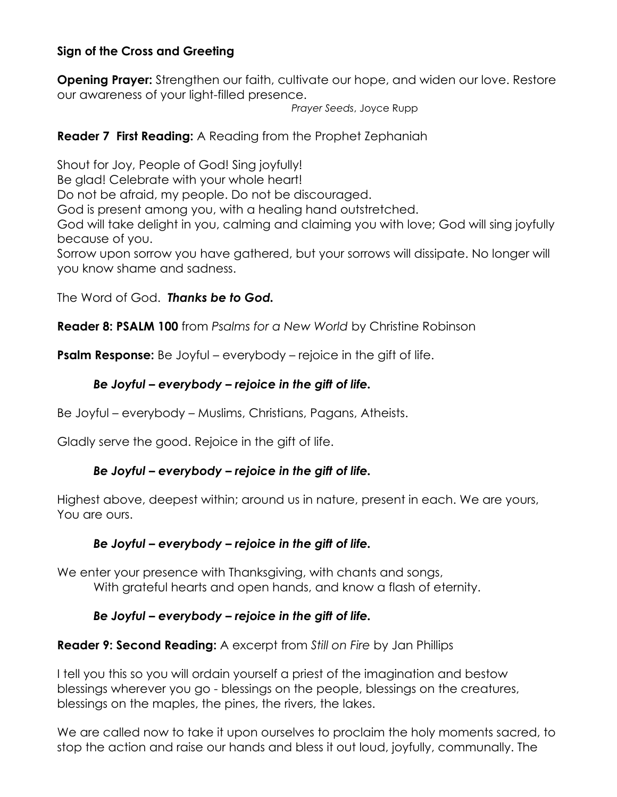# **Sign of the Cross and Greeting**

**Opening Prayer:** Strengthen our faith, cultivate our hope, and widen our love. Restore our awareness of your light-filled presence.

*Prayer Seeds*, Joyce Rupp

# **Reader 7 First Reading:** A Reading from the Prophet Zephaniah

Shout for Joy, People of God! Sing joyfully! Be glad! Celebrate with your whole heart! Do not be afraid, my people. Do not be discouraged. God is present among you, with a healing hand outstretched. God will take delight in you, calming and claiming you with love; God will sing joyfully because of you. Sorrow upon sorrow you have gathered, but your sorrows will dissipate. No longer will you know shame and sadness.

The Word of God. *Thanks be to God.* 

**Reader 8: PSALM 100** from *Psalms for a New World* by Christine Robinson

**Psalm Response:** Be Joyful – everybody – rejoice in the gift of life.

## *Be Joyful – everybody – rejoice in the gift of life.*

Be Joyful – everybody – Muslims, Christians, Pagans, Atheists.

Gladly serve the good. Rejoice in the gift of life.

## *Be Joyful – everybody – rejoice in the gift of life.*

Highest above, deepest within; around us in nature, present in each. We are yours, You are ours.

## *Be Joyful – everybody – rejoice in the gift of life.*

We enter your presence with Thanksgiving, with chants and songs, With grateful hearts and open hands, and know a flash of eternity.

## *Be Joyful – everybody – rejoice in the gift of life.*

## **Reader 9: Second Reading:** A excerpt from *Still on Fire* by Jan Phillips

I tell you this so you will ordain yourself a priest of the imagination and bestow blessings wherever you go - blessings on the people, blessings on the creatures, blessings on the maples, the pines, the rivers, the lakes.

We are called now to take it upon ourselves to proclaim the holy moments sacred, to stop the action and raise our hands and bless it out loud, joyfully, communally. The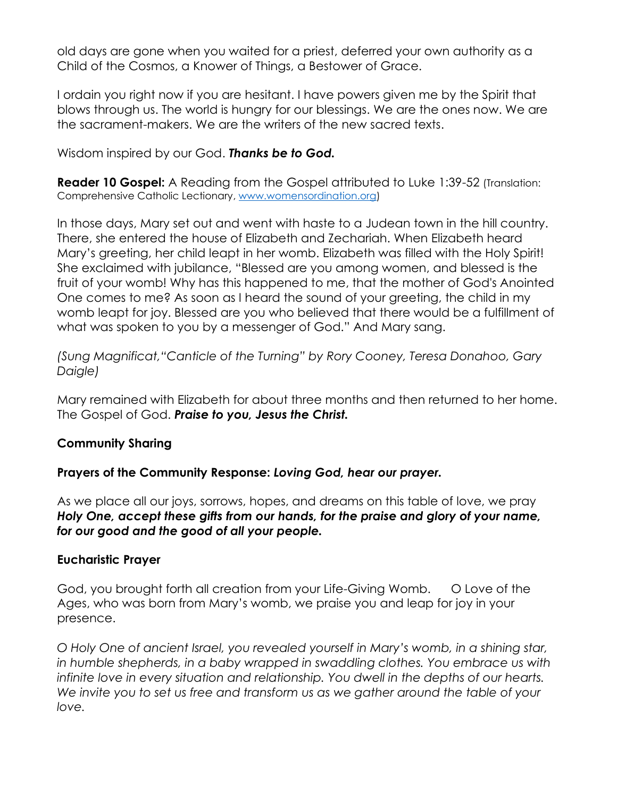old days are gone when you waited for a priest, deferred your own authority as a Child of the Cosmos, a Knower of Things, a Bestower of Grace.

I ordain you right now if you are hesitant. I have powers given me by the Spirit that blows through us. The world is hungry for our blessings. We are the ones now. We are the sacrament-makers. We are the writers of the new sacred texts.

Wisdom inspired by our God. *Thanks be to God.* 

**Reader 10 Gospel:** A Reading from the Gospel attributed to Luke 1:39-52 (Translation: Comprehensive Catholic Lectionary, [www.womensordination.org\)](http://www.womensordination.org/)

In those days, Mary set out and went with haste to a Judean town in the hill country. There, she entered the house of Elizabeth and Zechariah. When Elizabeth heard Mary's greeting, her child leapt in her womb. Elizabeth was filled with the Holy Spirit! She exclaimed with jubilance, "Blessed are you among women, and blessed is the fruit of your womb! Why has this happened to me, that the mother of God's Anointed One comes to me? As soon as I heard the sound of your greeting, the child in my womb leapt for joy. Blessed are you who believed that there would be a fulfillment of what was spoken to you by a messenger of God." And Mary sang.

*(Sung Magnificat,"Canticle of the Turning" by Rory Cooney, Teresa Donahoo, Gary Daigle)* 

Mary remained with Elizabeth for about three months and then returned to her home. The Gospel of God. *Praise to you, Jesus the Christ.* 

## **Community Sharing**

#### **Prayers of the Community Response:** *Loving God, hear our prayer.*

As we place all our joys, sorrows, hopes, and dreams on this table of love, we pray *Holy One, accept these gifts from our hands, for the praise and glory of your name, for our good and the good of all your people.*

#### **Eucharistic Prayer**

God, you brought forth all creation from your Life-Giving Womb. O Love of the Ages, who was born from Mary's womb, we praise you and leap for joy in your presence.

*O Holy One of ancient Israel, you revealed yourself in Mary's womb, in a shining star,*  in humble shepherds, in a baby wrapped in swaddling clothes. You embrace us with *infinite love in every situation and relationship. You dwell in the depths of our hearts.*  We invite you to set us free and transform us as we gather around the table of your *love.*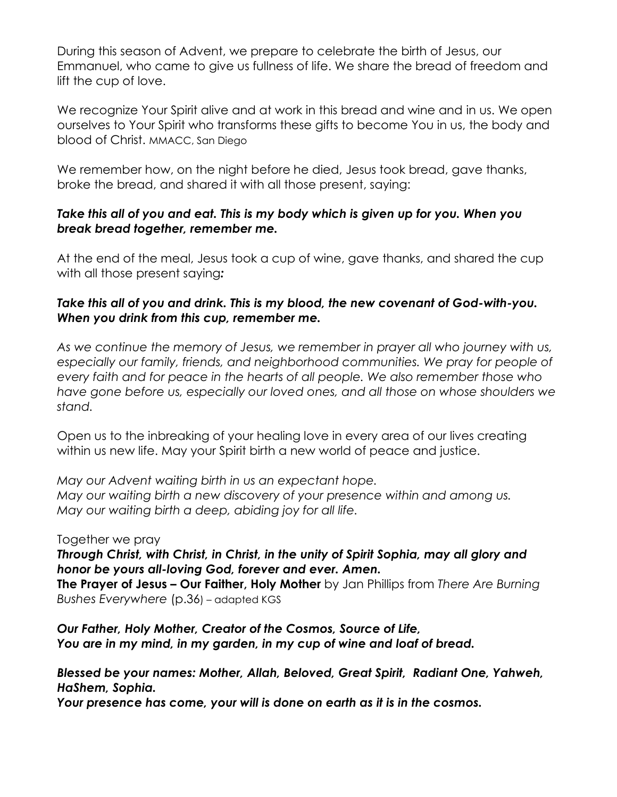During this season of Advent, we prepare to celebrate the birth of Jesus, our Emmanuel, who came to give us fullness of life. We share the bread of freedom and lift the cup of love.

We recognize Your Spirit alive and at work in this bread and wine and in us. We open ourselves to Your Spirit who transforms these gifts to become You in us, the body and blood of Christ. MMACC, San Diego

We remember how, on the night before he died, Jesus took bread, gave thanks, broke the bread, and shared it with all those present, saying:

## *Take this all of you and eat. This is my body which is given up for you. When you break bread together, remember me.*

At the end of the meal, Jesus took a cup of wine, gave thanks, and shared the cup with all those present saying*:* 

## *Take this all of you and drink. This is my blood, the new covenant of God-with-you. When you drink from this cup, remember me.*

*As we continue the memory of Jesus, we remember in prayer all who journey with us,*  especially our family, friends, and neighborhood communities. We pray for people of *every faith and for peace in the hearts of all people. We also remember those who have gone before us, especially our loved ones, and all those on whose shoulders we stand.*

Open us to the inbreaking of your healing love in every area of our lives creating within us new life. May your Spirit birth a new world of peace and justice.

*May our Advent waiting birth in us an expectant hope. May our waiting birth a new discovery of your presence within and among us. May our waiting birth a deep, abiding joy for all life.*

#### Together we pray

*Through Christ, with Christ, in Christ, in the unity of Spirit Sophia, may all glory and honor be yours all-loving God, forever and ever. Amen.*

**The Prayer of Jesus – Our Faither, Holy Mother** by Jan Phillips from *There Are Burning Bushes Everywhere* (p.36) – adapted KGS

*Our Father, Holy Mother, Creator of the Cosmos, Source of Life, You are in my mind, in my garden, in my cup of wine and loaf of bread.*

*Blessed be your names: Mother, Allah, Beloved, Great Spirit, Radiant One, Yahweh, HaShem, Sophia.*

*Your presence has come, your will is done on earth as it is in the cosmos.*